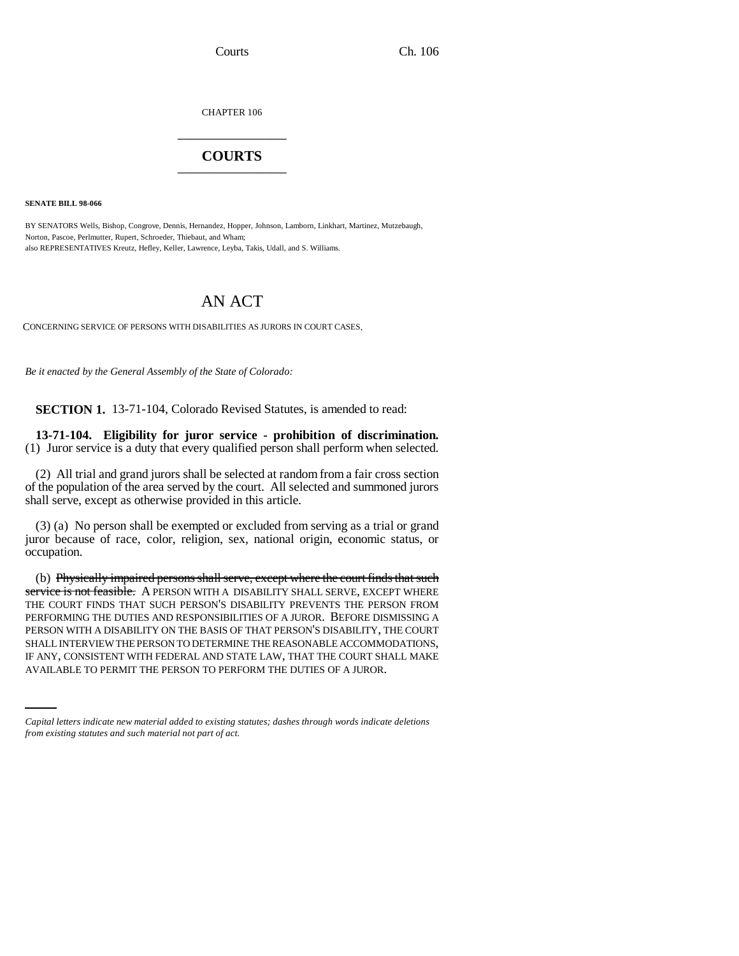CHAPTER 106 \_\_\_\_\_\_\_\_\_\_\_\_\_\_\_

## **COURTS** \_\_\_\_\_\_\_\_\_\_\_\_\_\_\_

**SENATE BILL 98-066**

BY SENATORS Wells, Bishop, Congrove, Dennis, Hernandez, Hopper, Johnson, Lamborn, Linkhart, Martinez, Mutzebaugh, Norton, Pascoe, Perlmutter, Rupert, Schroeder, Thiebaut, and Wham; also REPRESENTATIVES Kreutz, Hefley, Keller, Lawrence, Leyba, Takis, Udall, and S. Williams.

## AN ACT

CONCERNING SERVICE OF PERSONS WITH DISABILITIES AS JURORS IN COURT CASES.

*Be it enacted by the General Assembly of the State of Colorado:*

**SECTION 1.** 13-71-104, Colorado Revised Statutes, is amended to read:

**13-71-104. Eligibility for juror service - prohibition of discrimination.** (1) Juror service is a duty that every qualified person shall perform when selected.

(2) All trial and grand jurors shall be selected at random from a fair cross section of the population of the area served by the court. All selected and summoned jurors shall serve, except as otherwise provided in this article.

(3) (a) No person shall be exempted or excluded from serving as a trial or grand juror because of race, color, religion, sex, national origin, economic status, or occupation.

SHALL INTERVIEW THE PERSON TO DETERMINE THE REASONABLE ACCOMMODATIONS, (b) Physically impaired persons shall serve, except where the court finds that such service is not feasible. A PERSON WITH A DISABILITY SHALL SERVE, EXCEPT WHERE THE COURT FINDS THAT SUCH PERSON'S DISABILITY PREVENTS THE PERSON FROM PERFORMING THE DUTIES AND RESPONSIBILITIES OF A JUROR. BEFORE DISMISSING A PERSON WITH A DISABILITY ON THE BASIS OF THAT PERSON'S DISABILITY, THE COURT IF ANY, CONSISTENT WITH FEDERAL AND STATE LAW, THAT THE COURT SHALL MAKE AVAILABLE TO PERMIT THE PERSON TO PERFORM THE DUTIES OF A JUROR.

*Capital letters indicate new material added to existing statutes; dashes through words indicate deletions from existing statutes and such material not part of act.*